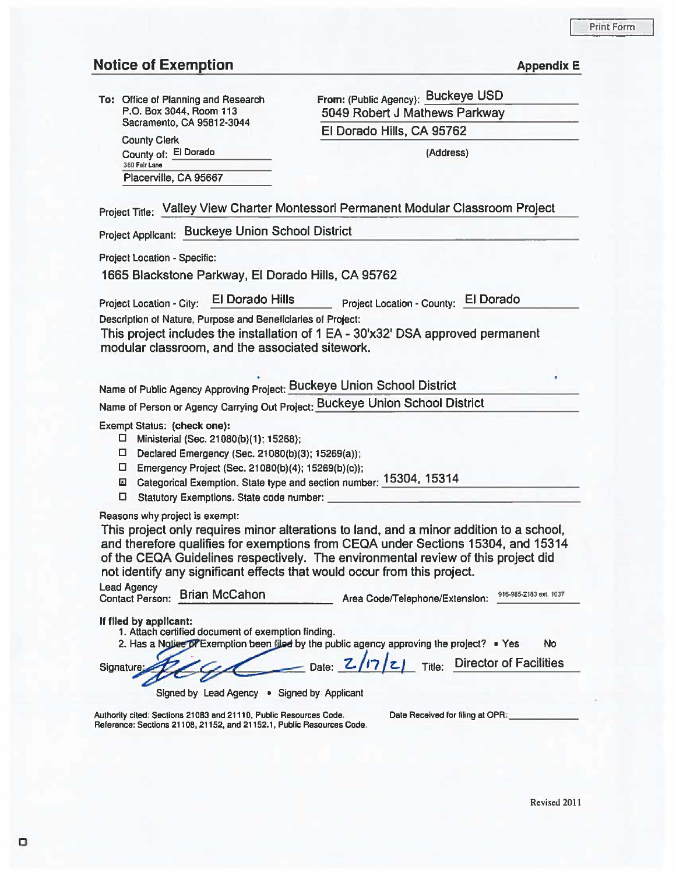## **Notice of Exemption**

County Clerk

County of: El Dorado Placerville, CA 95667

|  | <b>Appendix E</b> |  |  |
|--|-------------------|--|--|
|  |                   |  |  |

To: Office of Planning and Research P.O. Box 3044, Room 113 Sacramento, CA 95812·3044

From: (Public Agency): Buckeye USD 5049 Robert J Mathews Parkway El Dorado Hills, CA 95762

(Address)

|  |  | Project Title: Valley View Charter Montessori Permanent Modular Classroom Project |  |
|--|--|-----------------------------------------------------------------------------------|--|
|--|--|-----------------------------------------------------------------------------------|--|

Project Applicant: Buckeye Union School District

Project Location • Specific:

1665 Blackstone Parkway, El Dorado Hills, CA 95762

Project Location - City: El Dorado Hills Project Location - County: El Dorado

Description of Nature, Purpose and Beneficiaries of Project:

This project includes the installation of 1 EA - 30'x32' DSA approved permanent modular classroom, and the associated sitework.

Name of Public Agency Approving Project: Buckeye Union School District

Name of Person or Agency Carrying Out Project: Buckeye Union School District

Exempt Status: (check one):

- 0 Ministerial (Sec. 21080(b)(1); 15268};
- 0 Declared Emergency (Sec. 21080(b)(3); 15269(a));
- 0 Emergency Project (Sec. 21 080(b)(4); 15269(b)(c));
- El Categorical Exemption. State type and section number: \_1\_5\_3\_0\_4.;.. , \_1\_5\_3\_14 \_\_\_\_\_\_\_\_ \_ <sup>D</sup>Statutory Exemptions. State code number: ------------------
- 

Reasons why project is exempt:

This project only requires minor alterations to land, and a minor addition to a school, and therefore qualifies for exemptions from CEQA under Sections 15304, and 15314 of the CEQA Guidelines respectively. The environmental review of this project did not identify any significant effects that would occur from this project.

| <b>Lead Agency</b> | Contact Person: Brian McCahon | Area Code/Telephone/Extension: | 916-985-2183 ext. 1037 |
|--------------------|-------------------------------|--------------------------------|------------------------|
|                    |                               |                                |                        |

If flied by applicant:

- 1. Attach certified document of exemption finding.
- 2. Has a Notice prexemption been filed by the public agency approving the project? Yes No

Signature  $Z$  C  $\sim$  Date:  $Z/7/z$  Title: Director of Facilities Signed by Lead Agency • Signed by Applicant

Authority cited: Sections 21083 and 21110, Public Resources Code. Reference: Sections 21108, 21152, and 21152.1, Public Resources Code. Date Received for filing at OPR: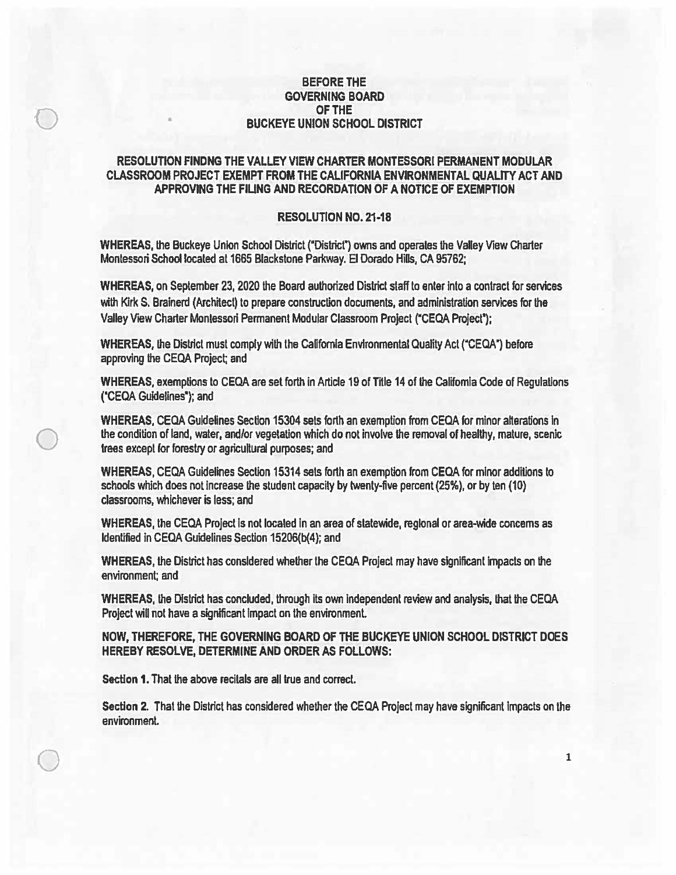## BEFORE THE GOVERNING BOARD OF THE BUCKEYE UNION SCHOOL DISTRICT

 $\bigcirc$ 

•

 $\bigcirc$ 

 $\bigcirc$ 

## RESOLUTION FINDNG THE VALLEY VIEW CHARTER MONTESSORI PERMANENT MODULAR CLASSROOM PROJECT EXEMPT FROM THE CALIFORNIA ENVIRONMENTAL QUALITY ACT AND APPROVING THE FlUNG AND RECORDATION OF A NOTICE OF EXEMPTION

## RESOLUTION NO. 21·18

WHEREAS, the Buckeye Union School District ("District") owns and operates the Valley View Charter Montessori School located at 1665 Blackstone Parkway. El Dorado Hills, CA 95762;

WHEREAS, on September 23, 2020 the Board authorized District staff to enter into a contract for services with Kirk S. Brainerd (Architect) to prepare construction documents, and administration services for the Valley View Charter Montessori Permanent Modular Classroom Project ("CEQA Project");

WHEREAS, the District must comply with the California Environmental Quality Act ("CEQA") before approving the CECA Project; and

WHEREAS, exemptions to CEQA are set forth in Article 19 of Title 14 of the California Code of Regulations ("CECA Guidelines•); and

WHEREAS, CEQA Guidelines Section 15304 sets forth an exemption from CEQA for minor alterations in the condition of land, water, and/or vegetation which do not involve the removal of healthy, mature, scenic trees except for forestry or agricuftural purposes; and

WHEREAS, CECA Guidelines Section 15314 sets forth an exemption from CECA for minor additions to schools which does not Increase the student capacity by twenty-five percent (25%), or by ten (10) classrooms, whichever is less; and

WHEREAS, the CEQA Project is not located in an area of statewide, regional or area-wide concerns as Identified in CEQA Guidelines Section 15206(b(4); and

WHEREAS, the District has considered whether the CECA Project may have significant Impacts on the environment; and

WHEREAS, the District has concluded, through its own independent review and analysis, that the CECA Project will not have a significant impact on the environment.

NOW, THEREFORE, THE GOVERNING BOARD OF THE BUCKEYE UNION SCHOOL DISTRICT DOES HEREBY RESOLVE, DETERMINE AND ORDER AS FOLLOWS:

Section 1. That the above recitals are all true and correct.

Section 2. That the District has considered whether the CEQA Project may have significant impacts on the environment.

1